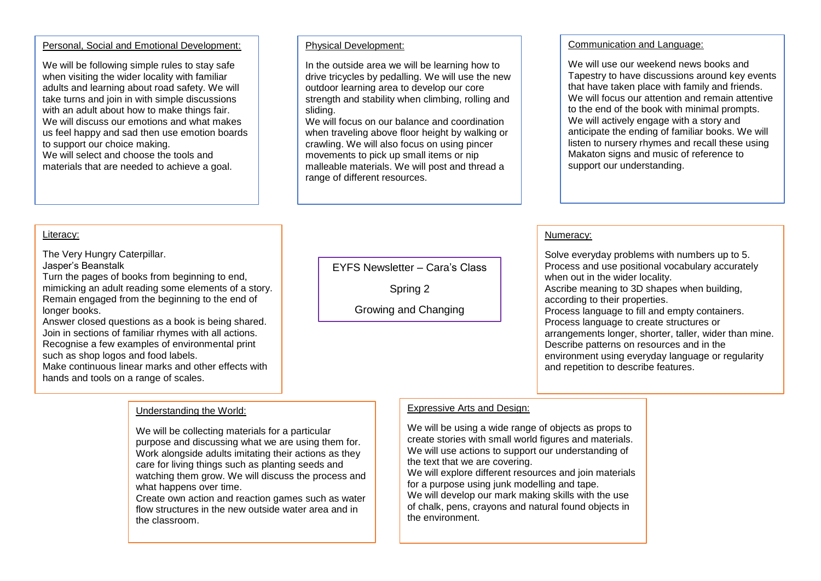#### Personal, Social and Emotional Development:

We will be following simple rules to stay safe when visiting the wider locality with familiar adults and learning about road safety. We will take turns and join in with simple discussions with an adult about how to make things fair. We will discuss our emotions and what makes us feel happy and sad then use emotion boards to support our choice making. We will select and choose the tools and materials that are needed to achieve a goal.

Turn the pages of books from beginning to end, mimicking an adult reading some elements of a story. Remain engaged from the beginning to the end of

Answer closed questions as a book is being shared. Join in sections of familiar rhymes with all actions. Recognise a few examples of environmental print

Make continuous linear marks and other effects with

Literacy:

The Very Hungry Caterpillar.

such as shop logos and food labels.

hands and tools on a range of scales.

Jasper's Beanstalk

longer books.

#### Physical Development:

In the outside area we will be learning how to drive tricycles by pedalling. We will use the new outdoor learning area to develop our core strength and stability when climbing, rolling and sliding.

We will focus on our balance and coordination when traveling above floor height by walking or crawling. We will also focus on using pincer movements to pick up small items or nip malleable materials. We will post and thread a range of different resources.

# EYFS Newsletter – Cara's Class

Spring 2

Growing and Changing

#### Communication and Language:

We will use our weekend news books and Tapestry to have discussions around key events that have taken place with family and friends. We will focus our attention and remain attentive to the end of the book with minimal prompts. We will actively engage with a story and anticipate the ending of familiar books. We will listen to nursery rhymes and recall these using Makaton signs and music of reference to support our understanding.

#### Numeracy:

Solve everyday problems with numbers up to 5. Process and use positional vocabulary accurately when out in the wider locality. Ascribe meaning to 3D shapes when building, according to their properties. Process language to fill and empty containers. Process language to create structures or arrangements longer, shorter, taller, wider than mine. Describe patterns on resources and in the environment using everyday language or regularity and repetition to describe features.

## Understanding the World:

We will be collecting materials for a particular purpose and discussing what we are using them for. Work alongside adults imitating their actions as they care for living things such as planting seeds and watching them grow. We will discuss the process and what happens over time.

Create own action and reaction games such as water flow structures in the new outside water area and in the classroom.

## Expressive Arts and Design:

We will be using a wide range of objects as props to create stories with small world figures and materials. We will use actions to support our understanding of the text that we are covering. We will explore different resources and join materials for a purpose using junk modelling and tape. We will develop our mark making skills with the use of chalk, pens, crayons and natural found objects in the environment.